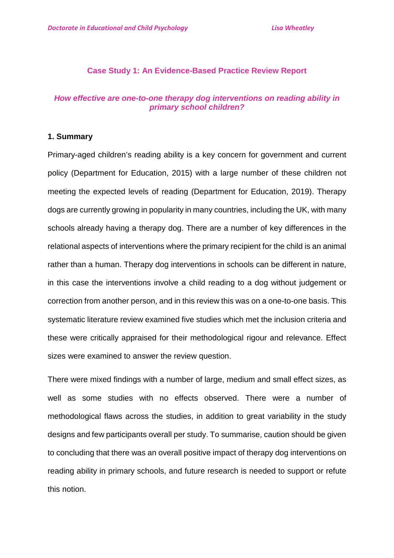#### **Case Study 1: An Evidence-Based Practice Review Report**

#### *How effective are one-to-one therapy dog interventions on reading ability in primary school children?*

#### **1. Summary**

Primary-aged children's reading ability is a key concern for government and current policy (Department for Education, 2015) with a large number of these children not meeting the expected levels of reading (Department for Education, 2019). Therapy dogs are currently growing in popularity in many countries, including the UK, with many schools already having a therapy dog. There are a number of key differences in the relational aspects of interventions where the primary recipient for the child is an animal rather than a human. Therapy dog interventions in schools can be different in nature, in this case the interventions involve a child reading to a dog without judgement or correction from another person, and in this review this was on a one-to-one basis. This systematic literature review examined five studies which met the inclusion criteria and these were critically appraised for their methodological rigour and relevance. Effect sizes were examined to answer the review question.

There were mixed findings with a number of large, medium and small effect sizes, as well as some studies with no effects observed. There were a number of methodological flaws across the studies, in addition to great variability in the study designs and few participants overall per study. To summarise, caution should be given to concluding that there was an overall positive impact of therapy dog interventions on reading ability in primary schools, and future research is needed to support or refute this notion.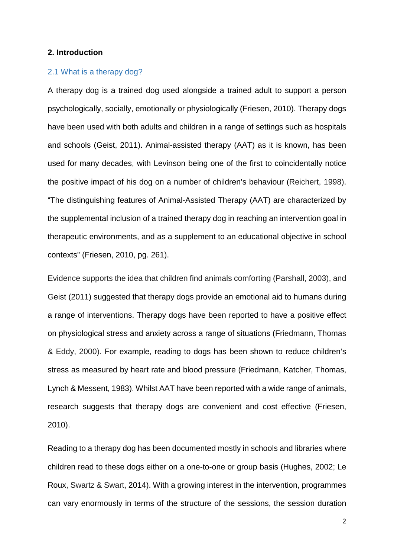#### **2. Introduction**

#### 2.1 What is a therapy dog?

A therapy dog is a trained dog used alongside a trained adult to support a person psychologically, socially, emotionally or physiologically (Friesen, 2010). Therapy dogs have been used with both adults and children in a range of settings such as hospitals and schools (Geist, 2011). Animal-assisted therapy (AAT) as it is known, has been used for many decades, with Levinson being one of the first to coincidentally notice the positive impact of his dog on a number of children's behaviour (Reichert, 1998). "The distinguishing features of Animal-Assisted Therapy (AAT) are characterized by the supplemental inclusion of a trained therapy dog in reaching an intervention goal in therapeutic environments, and as a supplement to an educational objective in school contexts" (Friesen, 2010, pg. 261).

Evidence supports the idea that children find animals comforting (Parshall, 2003), and Geist (2011) suggested that therapy dogs provide an emotional aid to humans during a range of interventions. Therapy dogs have been reported to have a positive effect on physiological stress and anxiety across a range of situations (Friedmann, Thomas & Eddy, 2000). For example, reading to dogs has been shown to reduce children's stress as measured by heart rate and blood pressure (Friedmann, Katcher, Thomas, Lynch & Messent, 1983). Whilst AAT have been reported with a wide range of animals, research suggests that therapy dogs are convenient and cost effective (Friesen, 2010).

Reading to a therapy dog has been documented mostly in schools and libraries where children read to these dogs either on a one-to-one or group basis (Hughes, 2002; Le Roux, Swartz & Swart, 2014). With a growing interest in the intervention, programmes can vary enormously in terms of the structure of the sessions, the session duration

2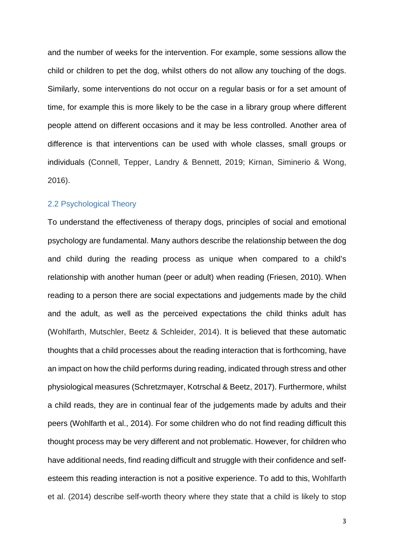and the number of weeks for the intervention. For example, some sessions allow the child or children to pet the dog, whilst others do not allow any touching of the dogs. Similarly, some interventions do not occur on a regular basis or for a set amount of time, for example this is more likely to be the case in a library group where different people attend on different occasions and it may be less controlled. Another area of difference is that interventions can be used with whole classes, small groups or individuals (Connell, Tepper, Landry & Bennett, 2019; Kirnan, Siminerio & Wong, 2016).

#### 2.2 Psychological Theory

To understand the effectiveness of therapy dogs, principles of social and emotional psychology are fundamental. Many authors describe the relationship between the dog and child during the reading process as unique when compared to a child's relationship with another human (peer or adult) when reading (Friesen, 2010). When reading to a person there are social expectations and judgements made by the child and the adult, as well as the perceived expectations the child thinks adult has (Wohlfarth, Mutschler, Beetz & Schleider, 2014). It is believed that these automatic thoughts that a child processes about the reading interaction that is forthcoming, have an impact on how the child performs during reading, indicated through stress and other physiological measures (Schretzmayer, Kotrschal & Beetz, 2017). Furthermore, whilst a child reads, they are in continual fear of the judgements made by adults and their peers (Wohlfarth et al., 2014). For some children who do not find reading difficult this thought process may be very different and not problematic. However, for children who have additional needs, find reading difficult and struggle with their confidence and selfesteem this reading interaction is not a positive experience. To add to this, Wohlfarth et al. (2014) describe self-worth theory where they state that a child is likely to stop

3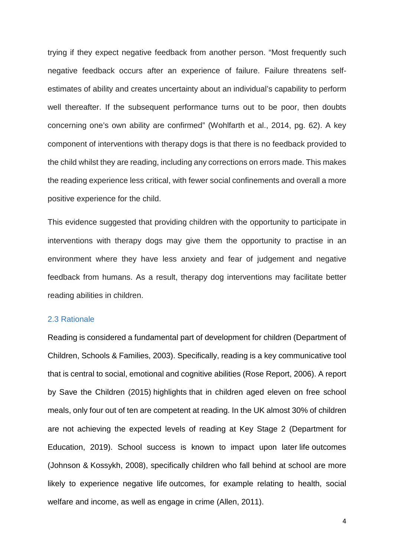trying if they expect negative feedback from another person. "Most frequently such negative feedback occurs after an experience of failure. Failure threatens selfestimates of ability and creates uncertainty about an individual's capability to perform well thereafter. If the subsequent performance turns out to be poor, then doubts concerning one's own ability are confirmed" (Wohlfarth et al., 2014, pg. 62). A key component of interventions with therapy dogs is that there is no feedback provided to the child whilst they are reading, including any corrections on errors made. This makes the reading experience less critical, with fewer social confinements and overall a more positive experience for the child.

This evidence suggested that providing children with the opportunity to participate in interventions with therapy dogs may give them the opportunity to practise in an environment where they have less anxiety and fear of judgement and negative feedback from humans. As a result, therapy dog interventions may facilitate better reading abilities in children.

#### 2.3 Rationale

Reading is considered a fundamental part of development for children (Department of Children, Schools & Families, 2003). Specifically, reading is a key communicative tool that is central to social, emotional and cognitive abilities (Rose Report, 2006). A report by Save the Children (2015) highlights that in children aged eleven on free school meals, only four out of ten are competent at reading. In the UK almost 30% of children are not achieving the expected levels of reading at Key Stage 2 (Department for Education, 2019). School success is known to impact upon later life outcomes (Johnson & Kossykh, 2008), specifically children who fall behind at school are more likely to experience negative life outcomes, for example relating to health, social welfare and income, as well as engage in crime (Allen, 2011).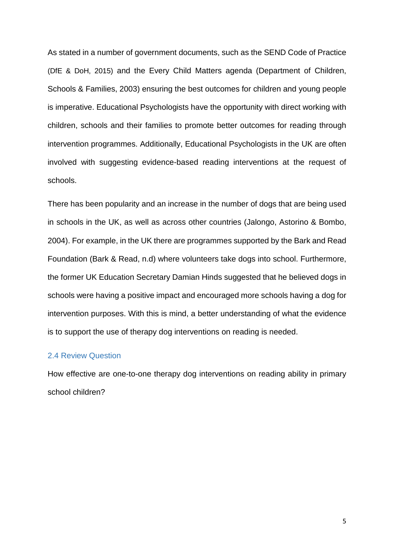As stated in a number of government documents, such as the SEND Code of Practice (DfE & DoH, 2015) and the Every Child Matters agenda (Department of Children, Schools & Families, 2003) ensuring the best outcomes for children and young people is imperative. Educational Psychologists have the opportunity with direct working with children, schools and their families to promote better outcomes for reading through intervention programmes. Additionally, Educational Psychologists in the UK are often involved with suggesting evidence-based reading interventions at the request of schools.

There has been popularity and an increase in the number of dogs that are being used in schools in the UK, as well as across other countries (Jalongo, Astorino & Bombo, 2004). For example, in the UK there are programmes supported by the Bark and Read Foundation (Bark & Read, n.d) where volunteers take dogs into school. Furthermore, the former UK Education Secretary Damian Hinds suggested that he believed dogs in schools were having a positive impact and encouraged more schools having a dog for intervention purposes. With this is mind, a better understanding of what the evidence is to support the use of therapy dog interventions on reading is needed.

#### 2.4 Review Question

How effective are one-to-one therapy dog interventions on reading ability in primary school children?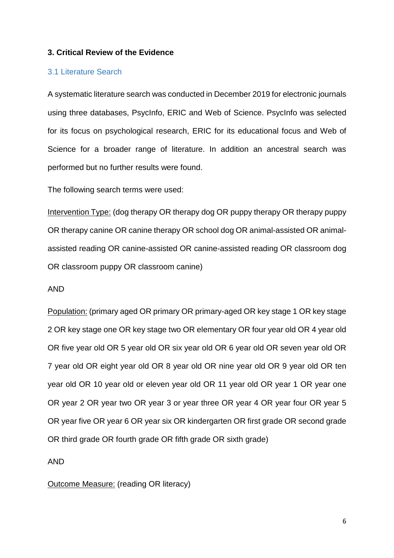#### **3. Critical Review of the Evidence**

#### 3.1 Literature Search

A systematic literature search was conducted in December 2019 for electronic journals using three databases, PsycInfo, ERIC and Web of Science. PsycInfo was selected for its focus on psychological research, ERIC for its educational focus and Web of Science for a broader range of literature. In addition an ancestral search was performed but no further results were found.

The following search terms were used:

Intervention Type: (dog therapy OR therapy dog OR puppy therapy OR therapy puppy OR therapy canine OR canine therapy OR school dog OR animal-assisted OR animalassisted reading OR canine-assisted OR canine-assisted reading OR classroom dog OR classroom puppy OR classroom canine)

#### AND

Population: (primary aged OR primary OR primary-aged OR key stage 1 OR key stage 2 OR key stage one OR key stage two OR elementary OR four year old OR 4 year old OR five year old OR 5 year old OR six year old OR 6 year old OR seven year old OR 7 year old OR eight year old OR 8 year old OR nine year old OR 9 year old OR ten year old OR 10 year old or eleven year old OR 11 year old OR year 1 OR year one OR year 2 OR year two OR year 3 or year three OR year 4 OR year four OR year 5 OR year five OR year 6 OR year six OR kindergarten OR first grade OR second grade OR third grade OR fourth grade OR fifth grade OR sixth grade)

AND

#### Outcome Measure: (reading OR literacy)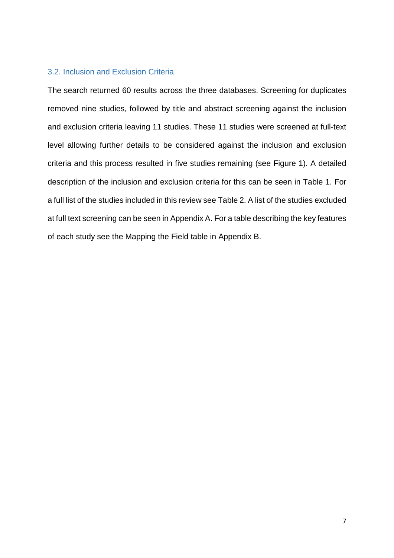#### 3.2. Inclusion and Exclusion Criteria

The search returned 60 results across the three databases. Screening for duplicates removed nine studies, followed by title and abstract screening against the inclusion and exclusion criteria leaving 11 studies. These 11 studies were screened at full-text level allowing further details to be considered against the inclusion and exclusion criteria and this process resulted in five studies remaining (see Figure 1). A detailed description of the inclusion and exclusion criteria for this can be seen in Table 1. For a full list of the studies included in this review see Table 2. A list of the studies excluded at full text screening can be seen in Appendix A. For a table describing the key features of each study see the Mapping the Field table in Appendix B.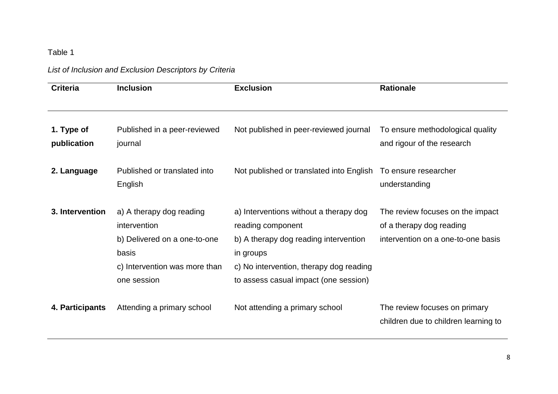# Table 1

# *List of Inclusion and Exclusion Descriptors by Criteria*

| <b>Criteria</b>           | <b>Inclusion</b>                                                                                                                  | <b>Exclusion</b>                                                                                                                                                                                      | <b>Rationale</b>                                                                                   |
|---------------------------|-----------------------------------------------------------------------------------------------------------------------------------|-------------------------------------------------------------------------------------------------------------------------------------------------------------------------------------------------------|----------------------------------------------------------------------------------------------------|
| 1. Type of<br>publication | Published in a peer-reviewed<br>journal                                                                                           | Not published in peer-reviewed journal                                                                                                                                                                | To ensure methodological quality<br>and rigour of the research                                     |
| 2. Language               | Published or translated into<br>English                                                                                           | Not published or translated into English                                                                                                                                                              | To ensure researcher<br>understanding                                                              |
| 3. Intervention           | a) A therapy dog reading<br>intervention<br>b) Delivered on a one-to-one<br>basis<br>c) Intervention was more than<br>one session | a) Interventions without a therapy dog<br>reading component<br>b) A therapy dog reading intervention<br>in groups<br>c) No intervention, therapy dog reading<br>to assess casual impact (one session) | The review focuses on the impact<br>of a therapy dog reading<br>intervention on a one-to-one basis |
| 4. Participants           | Attending a primary school                                                                                                        | Not attending a primary school                                                                                                                                                                        | The review focuses on primary<br>children due to children learning to                              |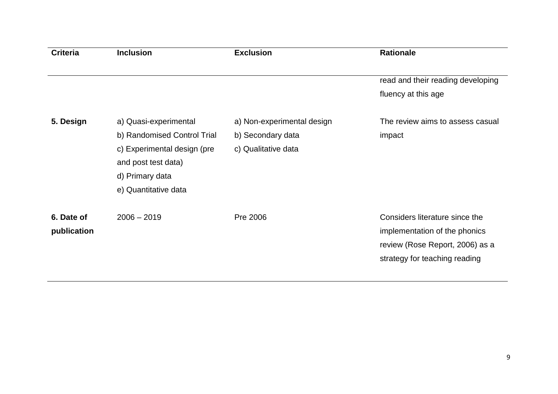| <b>Criteria</b> | <b>Inclusion</b>            | <b>Exclusion</b>           | <b>Rationale</b>                  |
|-----------------|-----------------------------|----------------------------|-----------------------------------|
|                 |                             |                            |                                   |
|                 |                             |                            | read and their reading developing |
|                 |                             |                            | fluency at this age               |
| 5. Design       | a) Quasi-experimental       | a) Non-experimental design | The review aims to assess casual  |
|                 | b) Randomised Control Trial | b) Secondary data          | impact                            |
|                 | c) Experimental design (pre | c) Qualitative data        |                                   |
|                 | and post test data)         |                            |                                   |
|                 | d) Primary data             |                            |                                   |
|                 | e) Quantitative data        |                            |                                   |
| 6. Date of      | $2006 - 2019$               | Pre 2006                   | Considers literature since the    |
| publication     |                             |                            | implementation of the phonics     |
|                 |                             |                            | review (Rose Report, 2006) as a   |
|                 |                             |                            | strategy for teaching reading     |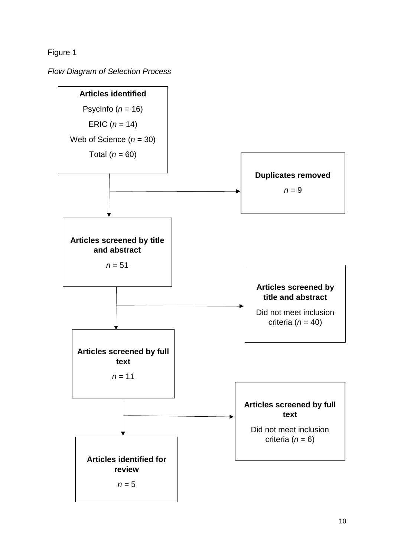Figure 1

*Flow Diagram of Selection Process*

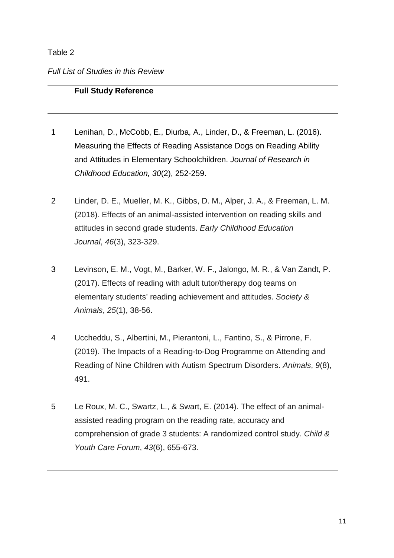## Table 2

# *Full List of Studies in this Review*

## **Full Study Reference**

- 1 Lenihan, D., McCobb, E., Diurba, A., Linder, D., & Freeman, L. (2016). Measuring the Effects of Reading Assistance Dogs on Reading Ability and Attitudes in Elementary Schoolchildren. *Journal of Research in Childhood Education, 30*(2), 252-259.
- 2 Linder, D. E., Mueller, M. K., Gibbs, D. M., Alper, J. A., & Freeman, L. M. (2018). Effects of an animal-assisted intervention on reading skills and attitudes in second grade students. *Early Childhood Education Journal*, *46*(3), 323-329.
- 3 Levinson, E. M., Vogt, M., Barker, W. F., Jalongo, M. R., & Van Zandt, P. (2017). Effects of reading with adult tutor/therapy dog teams on elementary students' reading achievement and attitudes. *Society & Animals*, *25*(1), 38-56.
- 4 Uccheddu, S., Albertini, M., Pierantoni, L., Fantino, S., & Pirrone, F. (2019). The Impacts of a Reading-to-Dog Programme on Attending and Reading of Nine Children with Autism Spectrum Disorders. *Animals*, *9*(8), 491.
- 5 Le Roux, M. C., Swartz, L., & Swart, E. (2014). The effect of an animalassisted reading program on the reading rate, accuracy and comprehension of grade 3 students: A randomized control study. *Child & Youth Care Forum*, *43*(6), 655-673.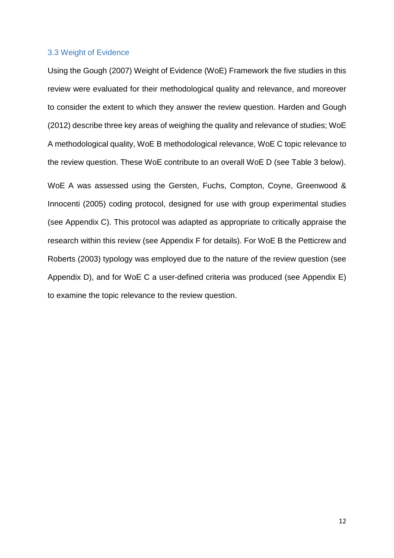#### 3.3 Weight of Evidence

Using the Gough (2007) Weight of Evidence (WoE) Framework the five studies in this review were evaluated for their methodological quality and relevance, and moreover to consider the extent to which they answer the review question. Harden and Gough (2012) describe three key areas of weighing the quality and relevance of studies; WoE A methodological quality, WoE B methodological relevance, WoE C topic relevance to the review question. These WoE contribute to an overall WoE D (see Table 3 below).

WoE A was assessed using the Gersten, Fuchs, Compton, Coyne, Greenwood & Innocenti (2005) coding protocol, designed for use with group experimental studies (see Appendix C). This protocol was adapted as appropriate to critically appraise the research within this review (see Appendix F for details). For WoE B the Petticrew and Roberts (2003) typology was employed due to the nature of the review question (see Appendix D), and for WoE C a user-defined criteria was produced (see Appendix E) to examine the topic relevance to the review question.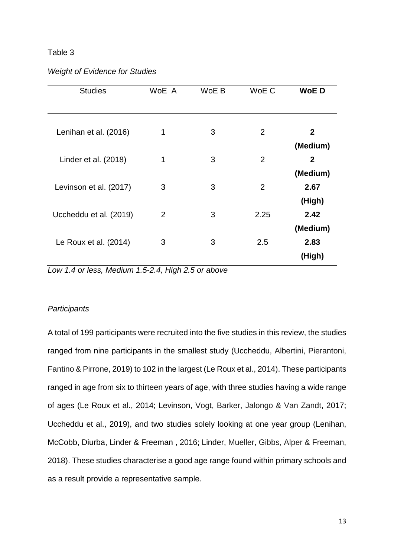#### Table 3

| <b>Studies</b>         | WoE A | WoE B | WoE C          | <b>WoED</b>              |
|------------------------|-------|-------|----------------|--------------------------|
| Lenihan et al. (2016)  | 1     | 3     | 2              | $\mathbf{2}$             |
| Linder et al. (2018)   | 1     | 3     | $\overline{2}$ | (Medium)<br>$\mathbf{2}$ |
|                        |       | 3     | $\overline{2}$ | (Medium)                 |
| Levinson et al. (2017) | 3     |       |                | 2.67<br>(High)           |
| Uccheddu et al. (2019) | 2     | 3     | 2.25           | 2.42<br>(Medium)         |
| Le Roux et al. (2014)  | 3     | 3     | 2.5            | 2.83<br>(High)           |

*Low 1.4 or less, Medium 1.5-2.4, High 2.5 or above*

#### *Participants*

A total of 199 participants were recruited into the five studies in this review, the studies ranged from nine participants in the smallest study (Uccheddu, Albertini, Pierantoni, Fantino & Pirrone, 2019) to 102 in the largest (Le Roux et al., 2014). These participants ranged in age from six to thirteen years of age, with three studies having a wide range of ages (Le Roux et al., 2014; Levinson, Vogt, Barker, Jalongo & Van Zandt, 2017; Uccheddu et al., 2019), and two studies solely looking at one year group (Lenihan, McCobb, Diurba, Linder & Freeman , 2016; Linder, Mueller, Gibbs, Alper & Freeman, 2018). These studies characterise a good age range found within primary schools and as a result provide a representative sample.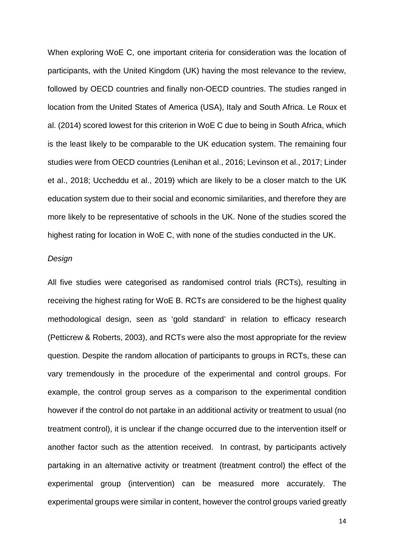When exploring WoE C, one important criteria for consideration was the location of participants, with the United Kingdom (UK) having the most relevance to the review, followed by OECD countries and finally non-OECD countries. The studies ranged in location from the United States of America (USA), Italy and South Africa. Le Roux et al. (2014) scored lowest for this criterion in WoE C due to being in South Africa, which is the least likely to be comparable to the UK education system. The remaining four studies were from OECD countries (Lenihan et al., 2016; Levinson et al., 2017; Linder et al., 2018; Uccheddu et al., 2019) which are likely to be a closer match to the UK education system due to their social and economic similarities, and therefore they are more likely to be representative of schools in the UK. None of the studies scored the highest rating for location in WoE C, with none of the studies conducted in the UK.

### *Design*

All five studies were categorised as randomised control trials (RCTs), resulting in receiving the highest rating for WoE B. RCTs are considered to be the highest quality methodological design, seen as 'gold standard' in relation to efficacy research (Petticrew & Roberts, 2003), and RCTs were also the most appropriate for the review question. Despite the random allocation of participants to groups in RCTs, these can vary tremendously in the procedure of the experimental and control groups. For example, the control group serves as a comparison to the experimental condition however if the control do not partake in an additional activity or treatment to usual (no treatment control), it is unclear if the change occurred due to the intervention itself or another factor such as the attention received. In contrast, by participants actively partaking in an alternative activity or treatment (treatment control) the effect of the experimental group (intervention) can be measured more accurately. The experimental groups were similar in content, however the control groups varied greatly

14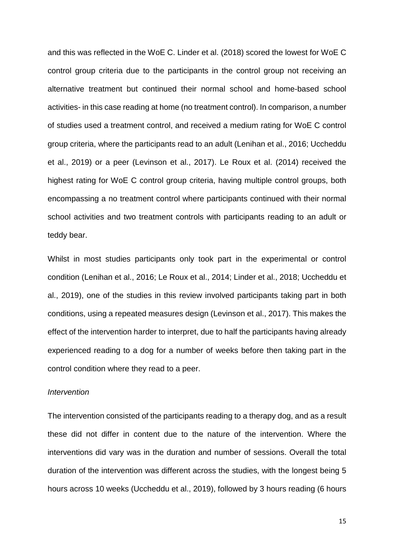and this was reflected in the WoE C. Linder et al. (2018) scored the lowest for WoE C control group criteria due to the participants in the control group not receiving an alternative treatment but continued their normal school and home-based school activities- in this case reading at home (no treatment control). In comparison, a number of studies used a treatment control, and received a medium rating for WoE C control group criteria, where the participants read to an adult (Lenihan et al., 2016; Uccheddu et al., 2019) or a peer (Levinson et al., 2017). Le Roux et al. (2014) received the highest rating for WoE C control group criteria, having multiple control groups, both encompassing a no treatment control where participants continued with their normal school activities and two treatment controls with participants reading to an adult or teddy bear.

Whilst in most studies participants only took part in the experimental or control condition (Lenihan et al., 2016; Le Roux et al., 2014; Linder et al., 2018; Uccheddu et al., 2019), one of the studies in this review involved participants taking part in both conditions, using a repeated measures design (Levinson et al., 2017). This makes the effect of the intervention harder to interpret, due to half the participants having already experienced reading to a dog for a number of weeks before then taking part in the control condition where they read to a peer.

#### *Intervention*

The intervention consisted of the participants reading to a therapy dog, and as a result these did not differ in content due to the nature of the intervention. Where the interventions did vary was in the duration and number of sessions. Overall the total duration of the intervention was different across the studies, with the longest being 5 hours across 10 weeks (Uccheddu et al., 2019), followed by 3 hours reading (6 hours

15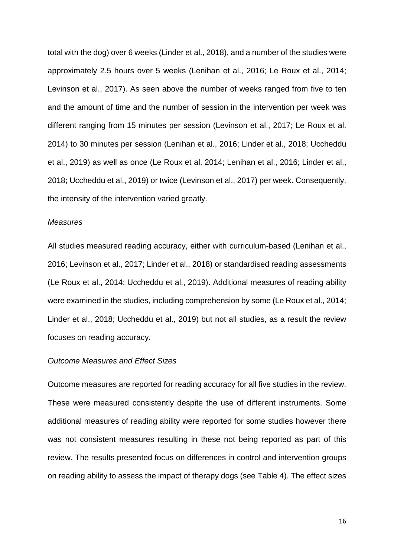total with the dog) over 6 weeks (Linder et al., 2018), and a number of the studies were approximately 2.5 hours over 5 weeks (Lenihan et al., 2016; Le Roux et al., 2014; Levinson et al., 2017). As seen above the number of weeks ranged from five to ten and the amount of time and the number of session in the intervention per week was different ranging from 15 minutes per session (Levinson et al., 2017; Le Roux et al. 2014) to 30 minutes per session (Lenihan et al., 2016; Linder et al., 2018; Uccheddu et al., 2019) as well as once (Le Roux et al. 2014; Lenihan et al., 2016; Linder et al., 2018; Uccheddu et al., 2019) or twice (Levinson et al., 2017) per week. Consequently, the intensity of the intervention varied greatly.

#### *Measures*

All studies measured reading accuracy, either with curriculum-based (Lenihan et al., 2016; Levinson et al., 2017; Linder et al., 2018) or standardised reading assessments (Le Roux et al., 2014; Uccheddu et al., 2019). Additional measures of reading ability were examined in the studies, including comprehension by some (Le Roux et al., 2014; Linder et al., 2018; Uccheddu et al., 2019) but not all studies, as a result the review focuses on reading accuracy.

#### *Outcome Measures and Effect Sizes*

Outcome measures are reported for reading accuracy for all five studies in the review. These were measured consistently despite the use of different instruments. Some additional measures of reading ability were reported for some studies however there was not consistent measures resulting in these not being reported as part of this review. The results presented focus on differences in control and intervention groups on reading ability to assess the impact of therapy dogs (see Table 4). The effect sizes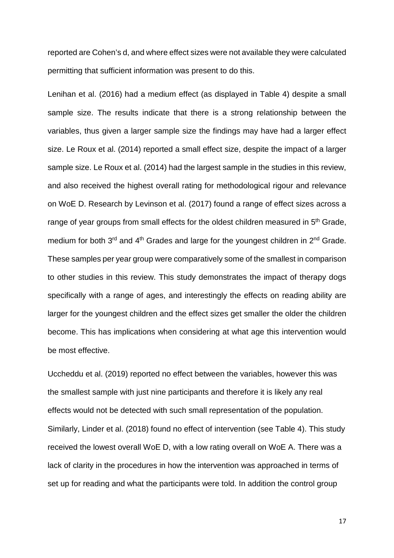reported are Cohen's d, and where effect sizes were not available they were calculated permitting that sufficient information was present to do this.

Lenihan et al. (2016) had a medium effect (as displayed in Table 4) despite a small sample size. The results indicate that there is a strong relationship between the variables, thus given a larger sample size the findings may have had a larger effect size. Le Roux et al. (2014) reported a small effect size, despite the impact of a larger sample size. Le Roux et al. (2014) had the largest sample in the studies in this review, and also received the highest overall rating for methodological rigour and relevance on WoE D. Research by Levinson et al. (2017) found a range of effect sizes across a range of year groups from small effects for the oldest children measured in 5<sup>th</sup> Grade, medium for both 3<sup>rd</sup> and 4<sup>th</sup> Grades and large for the youngest children in 2<sup>nd</sup> Grade. These samples per year group were comparatively some of the smallest in comparison to other studies in this review. This study demonstrates the impact of therapy dogs specifically with a range of ages, and interestingly the effects on reading ability are larger for the youngest children and the effect sizes get smaller the older the children become. This has implications when considering at what age this intervention would be most effective.

Uccheddu et al. (2019) reported no effect between the variables, however this was the smallest sample with just nine participants and therefore it is likely any real effects would not be detected with such small representation of the population. Similarly, Linder et al. (2018) found no effect of intervention (see Table 4). This study received the lowest overall WoE D, with a low rating overall on WoE A. There was a lack of clarity in the procedures in how the intervention was approached in terms of set up for reading and what the participants were told. In addition the control group

17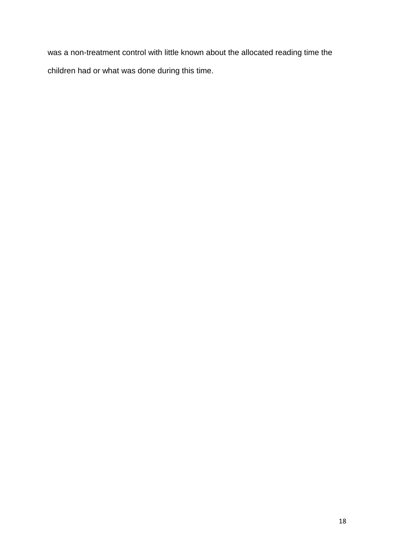was a non-treatment control with little known about the allocated reading time the children had or what was done during this time.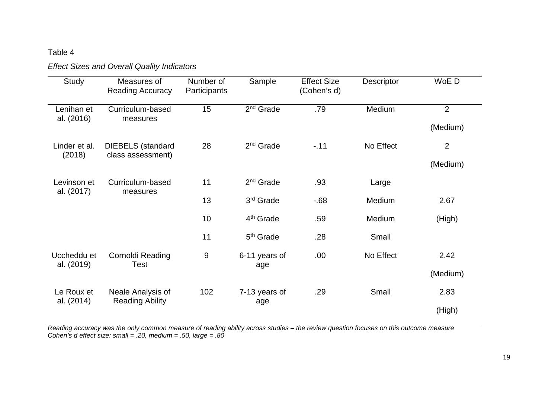# Table 4

# *Effect Sizes and Overall Quality Indicators*

| <b>Study</b>              | Measures of<br><b>Reading Accuracy</b>        | Number of<br>Participants | Sample                | <b>Effect Size</b><br>(Cohen's d) | Descriptor | WoE D          |  |
|---------------------------|-----------------------------------------------|---------------------------|-----------------------|-----------------------------------|------------|----------------|--|
| Lenihan et<br>al. (2016)  | Curriculum-based<br>measures                  | 15                        | $2nd$ Grade           | .79                               | Medium     | $\overline{2}$ |  |
|                           |                                               |                           |                       |                                   |            | (Medium)       |  |
| Linder et al.<br>(2018)   | <b>DIEBELS</b> (standard<br>class assessment) | 28                        | $2nd$ Grade           | $-.11$                            | No Effect  | $\overline{2}$ |  |
|                           |                                               |                           |                       |                                   |            | (Medium)       |  |
| Levinson et<br>al. (2017) | Curriculum-based<br>measures                  | 11                        | 2 <sup>nd</sup> Grade | .93                               | Large      |                |  |
|                           |                                               | 13                        | 3 <sup>rd</sup> Grade | $-68$                             | Medium     | 2.67           |  |
|                           |                                               | 10                        | 4 <sup>th</sup> Grade | .59                               | Medium     | (High)         |  |
|                           |                                               | 11                        | 5 <sup>th</sup> Grade | .28                               | Small      |                |  |
| Uccheddu et<br>al. (2019) | Cornoldi Reading<br>Test                      | $9\,$                     | 6-11 years of         | .00.                              | No Effect  | 2.42           |  |
|                           |                                               |                           | age                   |                                   |            | (Medium)       |  |
| Le Roux et<br>al. (2014)  | Neale Analysis of                             | 102                       | 7-13 years of         | .29                               | Small      | 2.83           |  |
|                           | <b>Reading Ability</b>                        |                           |                       |                                   | age        |                |  |

*Reading accuracy was the only common measure of reading ability across studies – the review question focuses on this outcome measure Cohen's d effect size: small = .20, medium = .50, large = .80*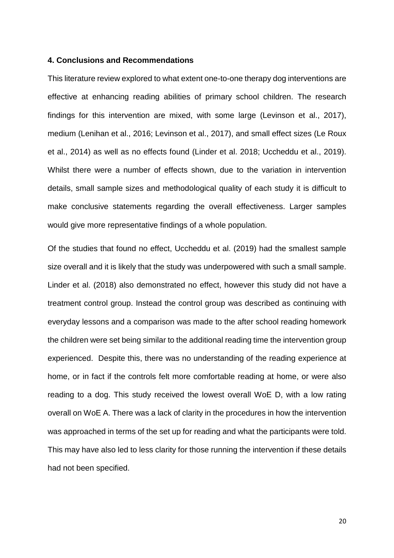#### **4. Conclusions and Recommendations**

This literature review explored to what extent one-to-one therapy dog interventions are effective at enhancing reading abilities of primary school children. The research findings for this intervention are mixed, with some large (Levinson et al., 2017), medium (Lenihan et al., 2016; Levinson et al., 2017), and small effect sizes (Le Roux et al., 2014) as well as no effects found (Linder et al. 2018; Uccheddu et al., 2019). Whilst there were a number of effects shown, due to the variation in intervention details, small sample sizes and methodological quality of each study it is difficult to make conclusive statements regarding the overall effectiveness. Larger samples would give more representative findings of a whole population.

Of the studies that found no effect, Uccheddu et al. (2019) had the smallest sample size overall and it is likely that the study was underpowered with such a small sample. Linder et al. (2018) also demonstrated no effect, however this study did not have a treatment control group. Instead the control group was described as continuing with everyday lessons and a comparison was made to the after school reading homework the children were set being similar to the additional reading time the intervention group experienced. Despite this, there was no understanding of the reading experience at home, or in fact if the controls felt more comfortable reading at home, or were also reading to a dog. This study received the lowest overall WoE D, with a low rating overall on WoE A. There was a lack of clarity in the procedures in how the intervention was approached in terms of the set up for reading and what the participants were told. This may have also led to less clarity for those running the intervention if these details had not been specified.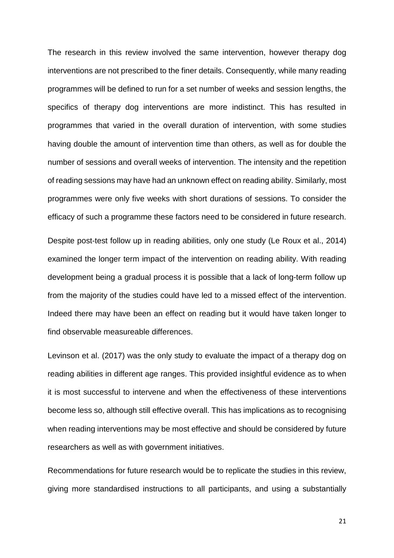The research in this review involved the same intervention, however therapy dog interventions are not prescribed to the finer details. Consequently, while many reading programmes will be defined to run for a set number of weeks and session lengths, the specifics of therapy dog interventions are more indistinct. This has resulted in programmes that varied in the overall duration of intervention, with some studies having double the amount of intervention time than others, as well as for double the number of sessions and overall weeks of intervention. The intensity and the repetition of reading sessions may have had an unknown effect on reading ability. Similarly, most programmes were only five weeks with short durations of sessions. To consider the efficacy of such a programme these factors need to be considered in future research.

Despite post-test follow up in reading abilities, only one study (Le Roux et al., 2014) examined the longer term impact of the intervention on reading ability. With reading development being a gradual process it is possible that a lack of long-term follow up from the majority of the studies could have led to a missed effect of the intervention. Indeed there may have been an effect on reading but it would have taken longer to find observable measureable differences.

Levinson et al. (2017) was the only study to evaluate the impact of a therapy dog on reading abilities in different age ranges. This provided insightful evidence as to when it is most successful to intervene and when the effectiveness of these interventions become less so, although still effective overall. This has implications as to recognising when reading interventions may be most effective and should be considered by future researchers as well as with government initiatives.

Recommendations for future research would be to replicate the studies in this review, giving more standardised instructions to all participants, and using a substantially

21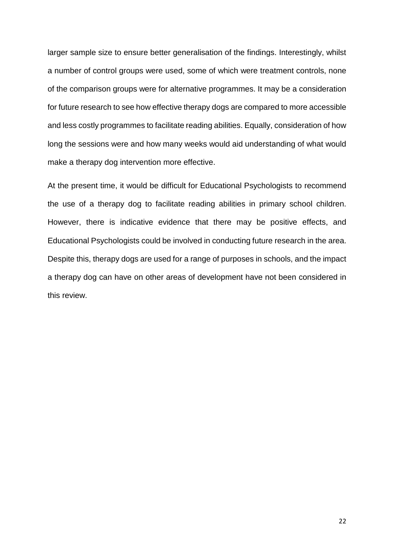larger sample size to ensure better generalisation of the findings. Interestingly, whilst a number of control groups were used, some of which were treatment controls, none of the comparison groups were for alternative programmes. It may be a consideration for future research to see how effective therapy dogs are compared to more accessible and less costly programmes to facilitate reading abilities. Equally, consideration of how long the sessions were and how many weeks would aid understanding of what would make a therapy dog intervention more effective.

At the present time, it would be difficult for Educational Psychologists to recommend the use of a therapy dog to facilitate reading abilities in primary school children. However, there is indicative evidence that there may be positive effects, and Educational Psychologists could be involved in conducting future research in the area. Despite this, therapy dogs are used for a range of purposes in schools, and the impact a therapy dog can have on other areas of development have not been considered in this review.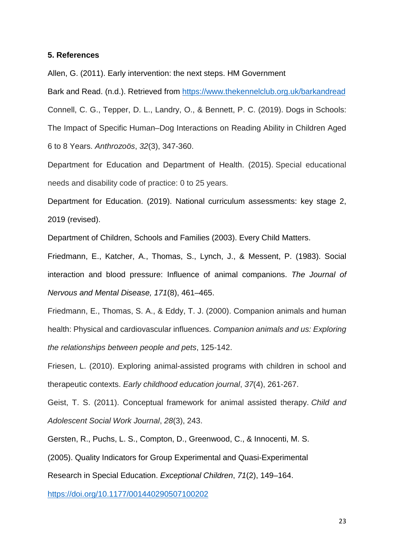#### **5. References**

Allen, G. (2011). Early intervention: the next steps. HM Government

Bark and Read. (n.d.). Retrieved from<https://www.thekennelclub.org.uk/barkandread> Connell, C. G., Tepper, D. L., Landry, O., & Bennett, P. C. (2019). Dogs in Schools: The Impact of Specific Human–Dog Interactions on Reading Ability in Children Aged 6 to 8 Years. *Anthrozoös*, *32*(3), 347-360.

Department for Education and Department of Health. (2015). Special educational needs and disability code of practice: 0 to 25 years.

Department for Education. (2019). National curriculum assessments: key stage 2, 2019 (revised).

Department of Children, Schools and Families (2003). Every Child Matters.

Friedmann, E., Katcher, A., Thomas, S., Lynch, J., & Messent, P. (1983). Social interaction and blood pressure: Influence of animal companions. *The Journal of Nervous and Mental Disease, 171*(8), 461–465.

Friedmann, E., Thomas, S. A., & Eddy, T. J. (2000). Companion animals and human health: Physical and cardiovascular influences. *Companion animals and us: Exploring the relationships between people and pets*, 125-142.

Friesen, L. (2010). Exploring animal-assisted programs with children in school and therapeutic contexts. *Early childhood education journal*, *37*(4), 261-267.

Geist, T. S. (2011). Conceptual framework for animal assisted therapy. *Child and Adolescent Social Work Journal*, *28*(3), 243.

Gersten, R., Puchs, L. S., Compton, D., Greenwood, C., & Innocenti, M. S.

(2005). Quality Indicators for Group Experimental and Quasi-Experimental

Research in Special Education. *Exceptional Children*, *71*(2), 149–164.

<https://doi.org/10.1177/001440290507100202>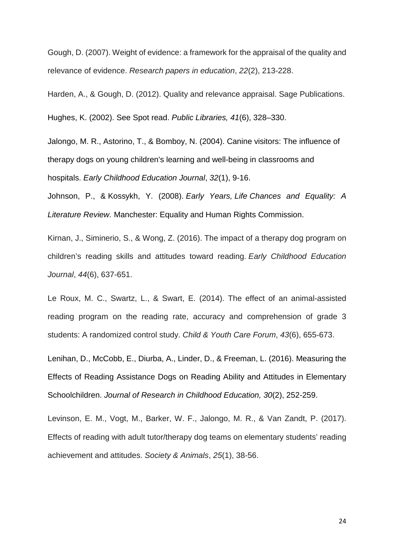Gough, D. (2007). Weight of evidence: a framework for the appraisal of the quality and relevance of evidence. *Research papers in education*, *22*(2), 213-228.

Harden, A., & Gough, D. (2012). Quality and relevance appraisal. Sage Publications.

Hughes, K. (2002). See Spot read. *Public Libraries, 41*(6), 328–330.

Jalongo, M. R., Astorino, T., & Bomboy, N. (2004). Canine visitors: The influence of therapy dogs on young children's learning and well-being in classrooms and hospitals. *Early Childhood Education Journal*, *32*(1), 9-16.

Johnson, P., & Kossykh, Y. (2008). *Early Years, Life Chances and Equality: A Literature Review.* Manchester: Equality and Human Rights Commission.

Kirnan, J., Siminerio, S., & Wong, Z. (2016). The impact of a therapy dog program on children's reading skills and attitudes toward reading. *Early Childhood Education Journal*, *44*(6), 637-651.

Le Roux, M. C., Swartz, L., & Swart, E. (2014). The effect of an animal-assisted reading program on the reading rate, accuracy and comprehension of grade 3 students: A randomized control study. *Child & Youth Care Forum*, *43*(6), 655-673.

Lenihan, D., McCobb, E., Diurba, A., Linder, D., & Freeman, L. (2016). Measuring the Effects of Reading Assistance Dogs on Reading Ability and Attitudes in Elementary Schoolchildren. *Journal of Research in Childhood Education, 30*(2), 252-259.

Levinson, E. M., Vogt, M., Barker, W. F., Jalongo, M. R., & Van Zandt, P. (2017). Effects of reading with adult tutor/therapy dog teams on elementary students' reading achievement and attitudes. *Society & Animals*, *25*(1), 38-56.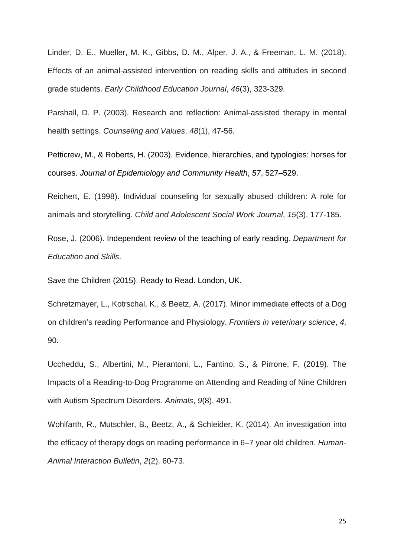Linder, D. E., Mueller, M. K., Gibbs, D. M., Alper, J. A., & Freeman, L. M. (2018). Effects of an animal-assisted intervention on reading skills and attitudes in second grade students. *Early Childhood Education Journal*, *46*(3), 323-329.

Parshall, D. P. (2003). Research and reflection: Animal‐assisted therapy in mental health settings. *Counseling and Values*, *48*(1), 47-56.

Petticrew, M., & Roberts, H. (2003). Evidence, hierarchies, and typologies: horses for courses. *Journal of Epidemiology and Community Health*, *57*, 527–529.

Reichert, E. (1998). Individual counseling for sexually abused children: A role for animals and storytelling. *Child and Adolescent Social Work Journal*, *15*(3), 177-185.

Rose, J. (2006). Independent review of the teaching of early reading. *Department for Education and Skills*.

Save the Children (2015). Ready to Read. London, UK.

Schretzmayer, L., Kotrschal, K., & Beetz, A. (2017). Minor immediate effects of a Dog on children's reading Performance and Physiology. *Frontiers in veterinary science*, *4*, 90.

Uccheddu, S., Albertini, M., Pierantoni, L., Fantino, S., & Pirrone, F. (2019). The Impacts of a Reading-to-Dog Programme on Attending and Reading of Nine Children with Autism Spectrum Disorders. *Animals*, *9*(8), 491.

Wohlfarth, R., Mutschler, B., Beetz, A., & Schleider, K. (2014). An investigation into the efficacy of therapy dogs on reading performance in 6–7 year old children. *Human-Animal Interaction Bulletin*, *2*(2), 60-73.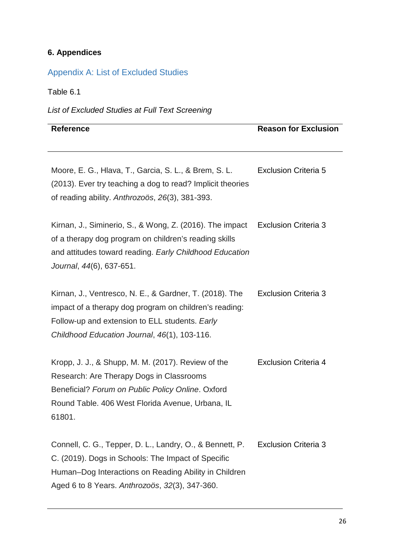# **6. Appendices**

# Appendix A: List of Excluded Studies

Table 6.1

*List of Excluded Studies at Full Text Screening*

#### **Reference Reason for Exclusion**

Moore, E. G., Hlava, T., Garcia, S. L., & Brem, S. L. (2013). Ever try teaching a dog to read? Implicit theories of reading ability. *Anthrozoös*, *26*(3), 381-393. Exclusion Criteria 5

Kirnan, J., Siminerio, S., & Wong, Z. (2016). The impact of a therapy dog program on children's reading skills and attitudes toward reading. *Early Childhood Education Journal*, *44*(6), 637-651. Exclusion Criteria 3

| Kirnan, J., Ventresco, N. E., & Gardner, T. (2018). The | <b>Exclusion Criteria 3</b> |
|---------------------------------------------------------|-----------------------------|
| impact of a therapy dog program on children's reading:  |                             |
| Follow-up and extension to ELL students. Early          |                             |
| Childhood Education Journal, 46(1), 103-116.            |                             |

Kropp, J. J., & Shupp, M. M. (2017). Review of the Research: Are Therapy Dogs in Classrooms Beneficial? *Forum on Public Policy Online*. Oxford Round Table. 406 West Florida Avenue, Urbana, IL 61801. Exclusion Criteria 4

Connell, C. G., Tepper, D. L., Landry, O., & Bennett, P. C. (2019). Dogs in Schools: The Impact of Specific Human–Dog Interactions on Reading Ability in Children Aged 6 to 8 Years. *Anthrozoös*, *32*(3), 347-360. Exclusion Criteria 3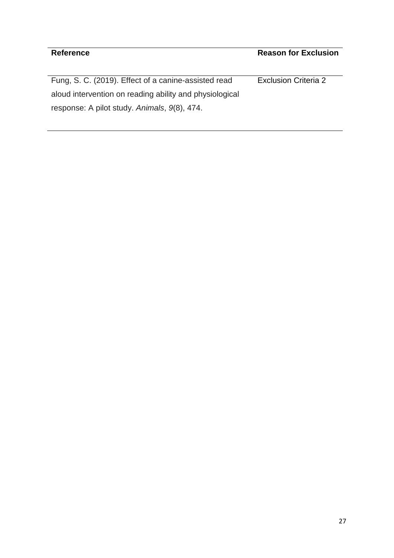Fung, S. C. (2019). Effect of a canine-assisted read aloud intervention on reading ability and physiological response: A pilot study. *Animals*, *9*(8), 474. Exclusion Criteria 2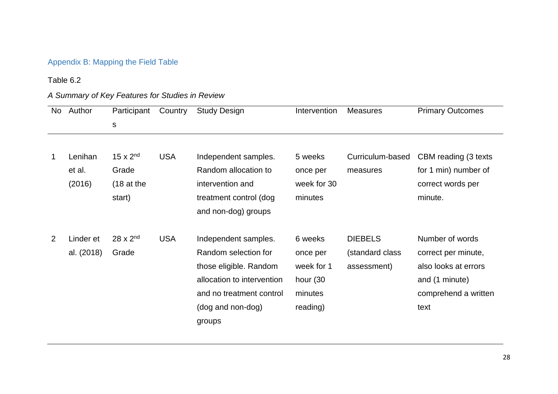# Appendix B: Mapping the Field Table

# Table 6.2

# *A Summary of Key Features for Studies in Review*

| No | Author                      | Participant                                                    | Country    | <b>Study Design</b>                                                                                                                                             | Intervention                                                         | <b>Measures</b>                                  | <b>Primary Outcomes</b>                                                                                          |
|----|-----------------------------|----------------------------------------------------------------|------------|-----------------------------------------------------------------------------------------------------------------------------------------------------------------|----------------------------------------------------------------------|--------------------------------------------------|------------------------------------------------------------------------------------------------------------------|
|    |                             | $\mathsf{s}$                                                   |            |                                                                                                                                                                 |                                                                      |                                                  |                                                                                                                  |
|    |                             |                                                                |            |                                                                                                                                                                 |                                                                      |                                                  |                                                                                                                  |
|    | Lenihan<br>et al.<br>(2016) | 15 $\times$ 2 <sup>nd</sup><br>Grade<br>$(18$ at the<br>start) | <b>USA</b> | Independent samples.<br>Random allocation to<br>intervention and<br>treatment control (dog<br>and non-dog) groups                                               | 5 weeks<br>once per<br>week for 30<br>minutes                        | Curriculum-based<br>measures                     | CBM reading (3 texts<br>for 1 min) number of<br>correct words per<br>minute.                                     |
| 2  | Linder et<br>al. (2018)     | $28 \times 2^{nd}$<br>Grade                                    | <b>USA</b> | Independent samples.<br>Random selection for<br>those eligible. Random<br>allocation to intervention<br>and no treatment control<br>(dog and non-dog)<br>groups | 6 weeks<br>once per<br>week for 1<br>hour (30<br>minutes<br>reading) | <b>DIEBELS</b><br>(standard class<br>assessment) | Number of words<br>correct per minute,<br>also looks at errors<br>and (1 minute)<br>comprehend a written<br>text |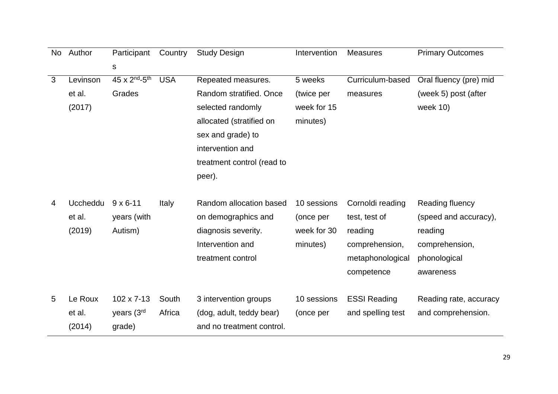| No | Author          | Participant                           | Country    | <b>Study Design</b>        | Intervention | <b>Measures</b>     | <b>Primary Outcomes</b> |
|----|-----------------|---------------------------------------|------------|----------------------------|--------------|---------------------|-------------------------|
|    |                 | S                                     |            |                            |              |                     |                         |
| 3  | Levinson        | 45 x 2 <sup>nd</sup> -5 <sup>th</sup> | <b>USA</b> | Repeated measures.         | 5 weeks      | Curriculum-based    | Oral fluency (pre) mid  |
|    | et al.          | Grades                                |            | Random stratified, Once    | (twice per   | measures            | (week 5) post (after    |
|    | (2017)          |                                       |            | selected randomly          | week for 15  |                     | week 10)                |
|    |                 |                                       |            | allocated (stratified on   | minutes)     |                     |                         |
|    |                 |                                       |            | sex and grade) to          |              |                     |                         |
|    |                 |                                       |            | intervention and           |              |                     |                         |
|    |                 |                                       |            | treatment control (read to |              |                     |                         |
|    |                 |                                       |            | peer).                     |              |                     |                         |
|    |                 |                                       |            |                            |              |                     |                         |
| 4  | <b>Uccheddu</b> | $9 \times 6 - 11$                     | Italy      | Random allocation based    | 10 sessions  | Cornoldi reading    | Reading fluency         |
|    | et al.          | years (with                           |            | on demographics and        | (once per    | test, test of       | (speed and accuracy),   |
|    | (2019)          | Autism)                               |            | diagnosis severity.        | week for 30  | reading             | reading                 |
|    |                 |                                       |            | Intervention and           | minutes)     | comprehension,      | comprehension,          |
|    |                 |                                       |            | treatment control          |              | metaphonological    | phonological            |
|    |                 |                                       |            |                            |              | competence          | awareness               |
|    |                 |                                       |            |                            |              |                     |                         |
| 5  | Le Roux         | 102 x 7-13                            | South      | 3 intervention groups      | 10 sessions  | <b>ESSI Reading</b> | Reading rate, accuracy  |
|    | et al.          | years (3rd                            | Africa     | (dog, adult, teddy bear)   | (once per    | and spelling test   | and comprehension.      |
|    | (2014)          | grade)                                |            | and no treatment control.  |              |                     |                         |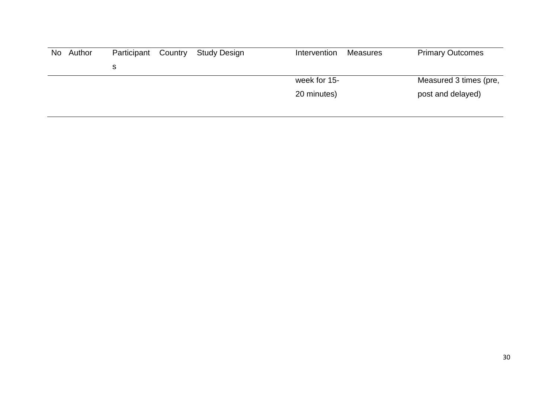| No Author | Participant | Country | Study Design | Intervention | Measures | <b>Primary Outcomes</b> |
|-----------|-------------|---------|--------------|--------------|----------|-------------------------|
|           |             |         |              |              |          |                         |
|           |             |         |              | week for 15- |          | Measured 3 times (pre,  |
|           |             |         |              | 20 minutes)  |          | post and delayed)       |
|           |             |         |              |              |          |                         |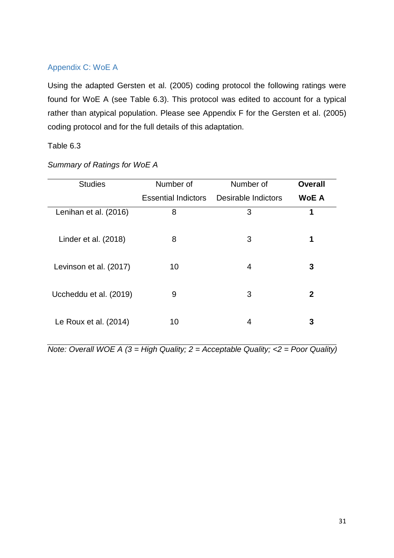# Appendix C: WoE A

Using the adapted Gersten et al. (2005) coding protocol the following ratings were found for WoE A (see Table 6.3). This protocol was edited to account for a typical rather than atypical population. Please see Appendix F for the Gersten et al. (2005) coding protocol and for the full details of this adaptation.

## Table 6.3

| <b>Studies</b>         | Number of                  | Number of           | <b>Overall</b> |
|------------------------|----------------------------|---------------------|----------------|
|                        | <b>Essential Indictors</b> | Desirable Indictors | <b>WoE A</b>   |
| Lenihan et al. (2016)  | 8                          | 3                   | 1              |
| Linder et al. (2018)   | 8                          | 3                   | 1              |
| Levinson et al. (2017) | 10                         | 4                   | 3              |
| Uccheddu et al. (2019) | 9                          | 3                   | 2              |
| Le Roux et al. (2014)  | 10                         | 4                   | 3              |

*Summary of Ratings for WoE A*

*Note: Overall WOE A (3 = High Quality; 2 = Acceptable Quality; <2 = Poor Quality)*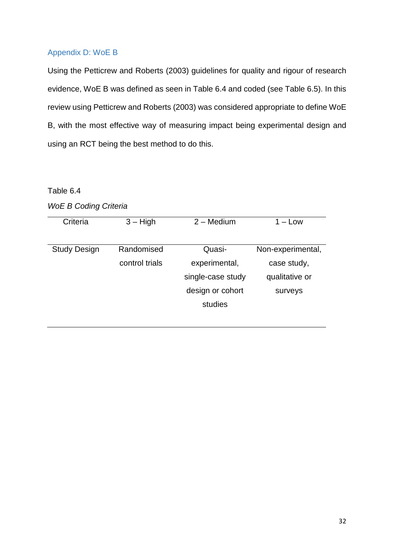# Appendix D: WoE B

Using the Petticrew and Roberts (2003) guidelines for quality and rigour of research evidence, WoE B was defined as seen in Table 6.4 and coded (see Table 6.5). In this review using Petticrew and Roberts (2003) was considered appropriate to define WoE B, with the most effective way of measuring impact being experimental design and using an RCT being the best method to do this.

### Table 6.4

| Criteria            | $3 - High$     | $2 - \text{ Medium}$ | $1 -$ Low         |
|---------------------|----------------|----------------------|-------------------|
|                     |                |                      |                   |
| <b>Study Design</b> | Randomised     | Quasi-               | Non-experimental, |
|                     | control trials | experimental,        | case study,       |
|                     |                | single-case study    | qualitative or    |
|                     |                | design or cohort     | surveys           |
|                     |                | studies              |                   |
|                     |                |                      |                   |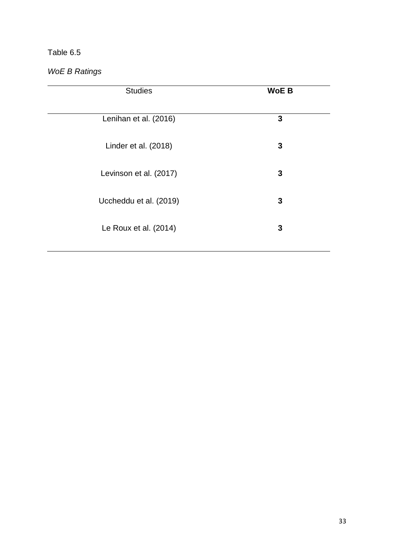# Table 6.5

*WoE B Ratings*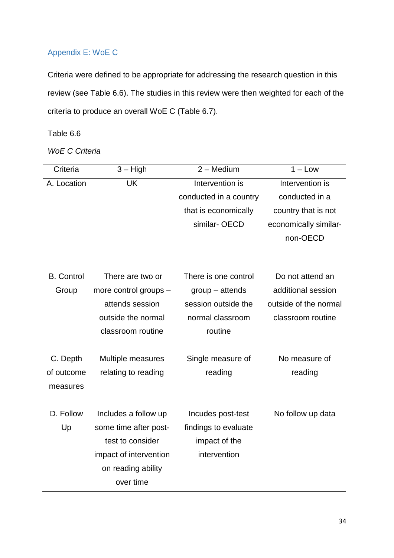# Appendix E: WoE C

Criteria were defined to be appropriate for addressing the research question in this review (see Table 6.6). The studies in this review were then weighted for each of the criteria to produce an overall WoE C (Table 6.7).

# Table 6.6

*WoE C Criteria*

| Criteria          | $3 - High$             | $2 - \text{Medium}$    | $1 - Low$             |
|-------------------|------------------------|------------------------|-----------------------|
| A. Location       | UK                     | Intervention is        | Intervention is       |
|                   |                        | conducted in a country | conducted in a        |
|                   |                        | that is economically   | country that is not   |
|                   |                        | similar-OECD           | economically similar- |
|                   |                        |                        | non-OECD              |
|                   |                        |                        |                       |
|                   |                        |                        |                       |
| <b>B.</b> Control | There are two or       | There is one control   | Do not attend an      |
| Group             | more control groups -  | $group - attempts$     | additional session    |
|                   | attends session        | session outside the    | outside of the normal |
|                   | outside the normal     | normal classroom       | classroom routine     |
|                   | classroom routine      | routine                |                       |
|                   |                        |                        |                       |
| C. Depth          | Multiple measures      | Single measure of      | No measure of         |
| of outcome        | relating to reading    | reading                | reading               |
| measures          |                        |                        |                       |
|                   |                        |                        |                       |
| D. Follow         | Includes a follow up   | Incudes post-test      | No follow up data     |
| Up                | some time after post-  | findings to evaluate   |                       |
|                   | test to consider       | impact of the          |                       |
|                   | impact of intervention | intervention           |                       |
|                   | on reading ability     |                        |                       |
|                   | over time              |                        |                       |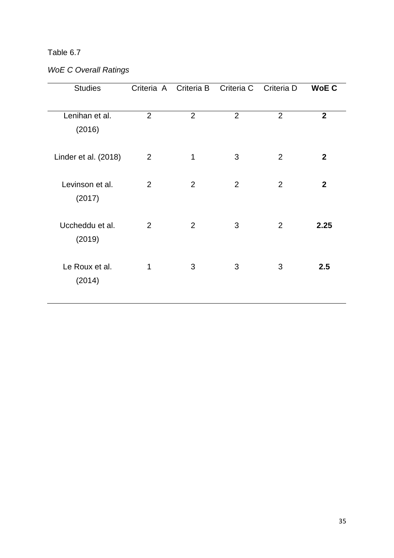# Table 6.7

# *WoE C Overall Ratings*

| <b>Studies</b>            | Criteria A Criteria B |                | Criteria C     | Criteria D     | <b>WoE C</b>   |
|---------------------------|-----------------------|----------------|----------------|----------------|----------------|
| Lenihan et al.<br>(2016)  | $\overline{2}$        | $\overline{2}$ | $\overline{2}$ | $\overline{2}$ | $\overline{2}$ |
| Linder et al. (2018)      | $\overline{2}$        | 1              | 3              | $\overline{2}$ | $\mathbf{2}$   |
| Levinson et al.<br>(2017) | $\overline{2}$        | $\overline{2}$ | $\overline{2}$ | 2              | $\mathbf{2}$   |
| Uccheddu et al.<br>(2019) | 2                     | $\overline{2}$ | 3              | $\overline{2}$ | 2.25           |
| Le Roux et al.<br>(2014)  | 1                     | 3              | 3              | 3              | 2.5            |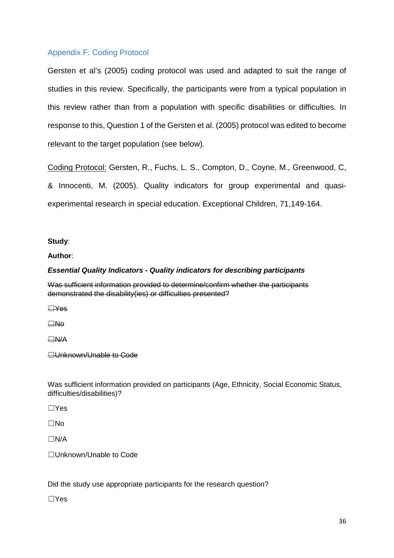# Appendix F: Coding Protocol

Gersten et al's (2005) coding protocol was used and adapted to suit the range of studies in this review. Specifically, the participants were from a typical population in this review rather than from a population with specific disabilities or difficulties. In response to this, Question 1 of the Gersten et al. (2005) protocol was edited to become relevant to the target population (see below).

Coding Protocol: Gersten, R., Fuchs, L. S., Compton, D., Coyne, M., Greenwood, C, & Innocenti, M. (2005). Quality indicators for group experimental and quasiexperimental research in special education. Exceptional Children, 71,149-164.

#### **Study**:

**Author**:

#### *Essential Quality Indicators - Quality indicators for describing participants*

Was sufficient information provided to determine/confirm whether the participants demonstrated the disability(ies) or difficulties presented?

☐Yes

☐No

☐N/A

**□Unknown/Unable to Code** 

Was sufficient information provided on participants (Age, Ethnicity, Social Economic Status, difficulties/disabilities)?

☐Yes

☐No

 $\Box$ N/A

☐Unknown/Unable to Code

Did the study use appropriate participants for the research question?

☐Yes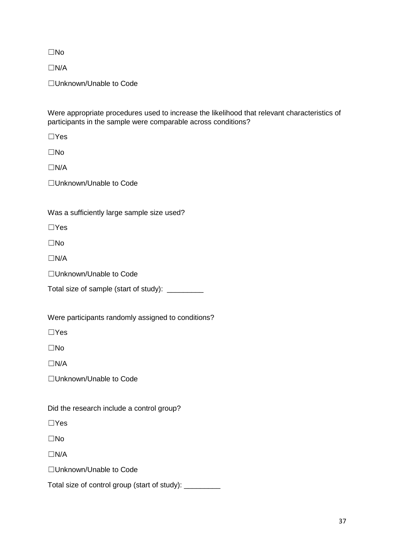☐No

☐N/A

☐Unknown/Unable to Code

Were appropriate procedures used to increase the likelihood that relevant characteristics of participants in the sample were comparable across conditions?

☐Yes

☐No

☐N/A

☐Unknown/Unable to Code

Was a sufficiently large sample size used?

☐Yes

☐No

 $\Box$ N/A

☐Unknown/Unable to Code

Total size of sample (start of study): \_\_\_\_\_\_\_\_\_

Were participants randomly assigned to conditions?

☐Yes

☐No

 $\Box$ N/A

☐Unknown/Unable to Code

Did the research include a control group?

☐Yes

☐No

 $\Box$ N/A

☐Unknown/Unable to Code

Total size of control group (start of study): \_\_\_\_\_\_\_\_\_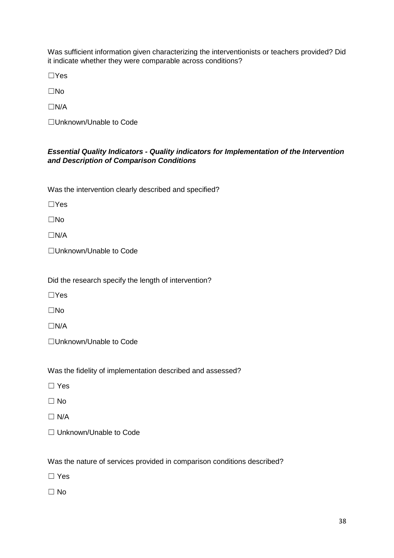Was sufficient information given characterizing the interventionists or teachers provided? Did it indicate whether they were comparable across conditions?

☐Yes

☐No

 $\Box$ N/A

☐Unknown/Unable to Code

#### *Essential Quality Indicators - Quality indicators for Implementation of the Intervention and Description of Comparison Conditions*

Was the intervention clearly described and specified?

☐Yes

☐No

☐N/A

☐Unknown/Unable to Code

Did the research specify the length of intervention?

☐Yes

☐No

 $\Box$ N/A

☐Unknown/Unable to Code

Was the fidelity of implementation described and assessed?

☐ Yes

☐ No

 $\Box$  N/A

☐ Unknown/Unable to Code

Was the nature of services provided in comparison conditions described?

☐ Yes

 $\Box$  No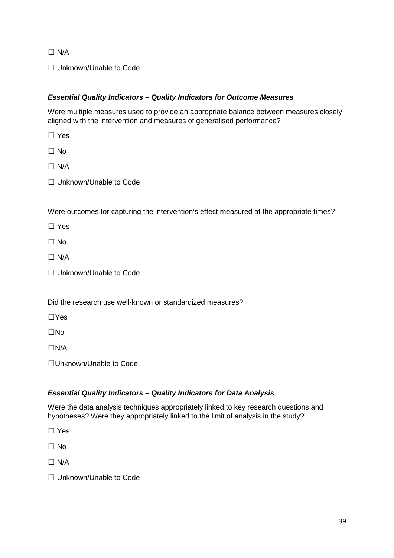$\Box$  N/A

□ Unknown/Unable to Code

### *Essential Quality Indicators – Quality Indicators for Outcome Measures*

Were multiple measures used to provide an appropriate balance between measures closely aligned with the intervention and measures of generalised performance?

☐ Yes

 $\Box$  No

 $\Box$  N/A

□ Unknown/Unable to Code

Were outcomes for capturing the intervention's effect measured at the appropriate times?

☐ Yes

☐ No

 $\Box$  N/A

☐ Unknown/Unable to Code

Did the research use well-known or standardized measures?

☐Yes

☐No

☐N/A

☐Unknown/Unable to Code

#### *Essential Quality Indicators – Quality Indicators for Data Analysis*

Were the data analysis techniques appropriately linked to key research questions and hypotheses? Were they appropriately linked to the limit of analysis in the study?

☐ Yes

☐ No

 $\Box$  N/A

☐ Unknown/Unable to Code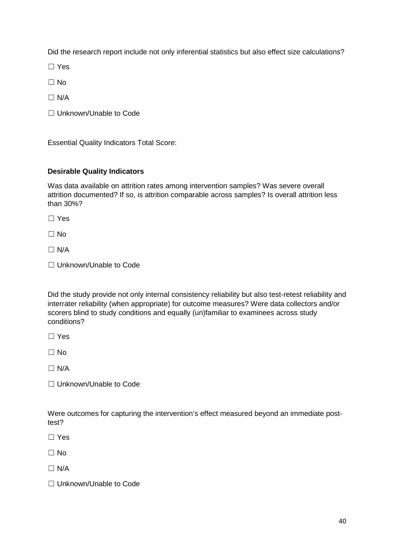Did the research report include not only inferential statistics but also effect size calculations?

☐ Yes

 $\Box$  No

 $\Box$  N/A

☐ Unknown/Unable to Code

Essential Quality Indicators Total Score:

#### **Desirable Quality Indicators**

Was data available on attrition rates among intervention samples? Was severe overall attrition documented? If so, is attrition comparable across samples? Is overall attrition less than 30%?

☐ Yes

☐ No

 $\Box$  N/A

□ Unknown/Unable to Code

Did the study provide not only internal consistency reliability but also test-retest reliability and interrater reliability (when appropriate) for outcome measures? Were data collectors and/or scorers blind to study conditions and equally (un)familiar to examinees across study conditions?

☐ Yes

 $\Box$  No

 $\Box$  N/A

☐ Unknown/Unable to Code

Were outcomes for capturing the intervention's effect measured beyond an immediate posttest?

☐ Yes

 $\Box$  No

 $\Box$  N/A

☐ Unknown/Unable to Code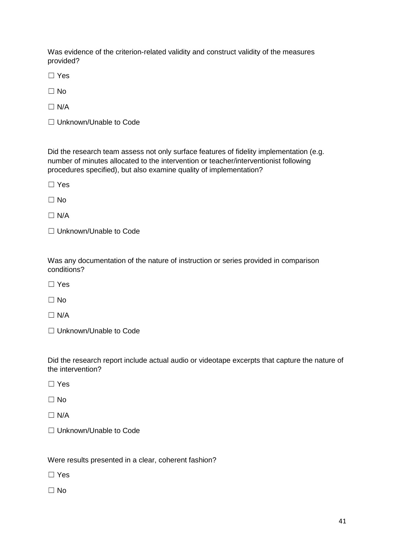Was evidence of the criterion-related validity and construct validity of the measures provided?

☐ Yes

☐ No

 $\Box$  N/A

☐ Unknown/Unable to Code

Did the research team assess not only surface features of fidelity implementation (e.g. number of minutes allocated to the intervention or teacher/interventionist following procedures specified), but also examine quality of implementation?

☐ Yes

 $\Box$  No

 $\Box$  N/A

☐ Unknown/Unable to Code

Was any documentation of the nature of instruction or series provided in comparison conditions?

☐ Yes

 $\Box$  No

 $\Box$  N/A

☐ Unknown/Unable to Code

Did the research report include actual audio or videotape excerpts that capture the nature of the intervention?

☐ Yes

 $\Box$  No

 $\Box$  N/A

□ Unknown/Unable to Code

#### Were results presented in a clear, coherent fashion?

☐ Yes

 $\Box$  No.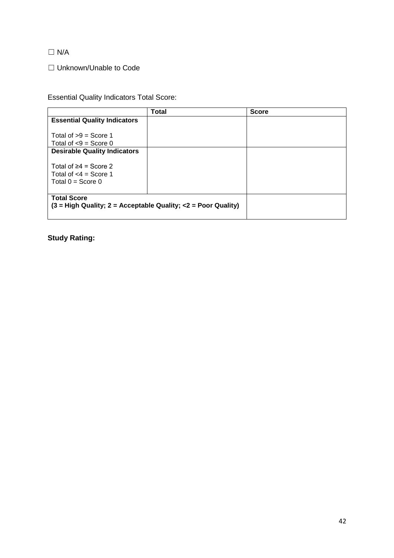$\Box$  N/A

☐ Unknown/Unable to Code

Essential Quality Indicators Total Score:

|                                                                 | <b>Total</b> | <b>Score</b> |  |
|-----------------------------------------------------------------|--------------|--------------|--|
| <b>Essential Quality Indicators</b>                             |              |              |  |
|                                                                 |              |              |  |
| Total of $>9$ = Score 1                                         |              |              |  |
| Total of $< 9$ = Score 0                                        |              |              |  |
| <b>Desirable Quality Indicators</b>                             |              |              |  |
|                                                                 |              |              |  |
| Total of $\geq 4$ = Score 2                                     |              |              |  |
| Total of $<$ 4 = Score 1                                        |              |              |  |
| Total $0 =$ Score 0                                             |              |              |  |
|                                                                 |              |              |  |
| <b>Total Score</b>                                              |              |              |  |
| $(3 = High Quality; 2 = Acceptable Quality; <2 = Poor Quality)$ |              |              |  |
|                                                                 |              |              |  |

**Study Rating:**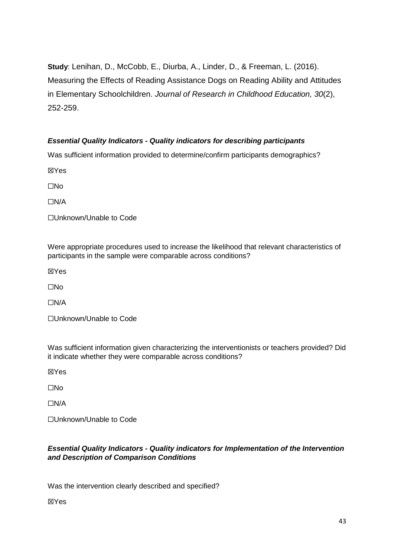**Study**: Lenihan, D., McCobb, E., Diurba, A., Linder, D., & Freeman, L. (2016). Measuring the Effects of Reading Assistance Dogs on Reading Ability and Attitudes in Elementary Schoolchildren. *Journal of Research in Childhood Education, 30*(2), 252-259.

### *Essential Quality Indicators - Quality indicators for describing participants*

Was sufficient information provided to determine/confirm participants demographics?

☒Yes

☐No

☐N/A

☐Unknown/Unable to Code

Were appropriate procedures used to increase the likelihood that relevant characteristics of participants in the sample were comparable across conditions?

☒Yes

☐No

☐N/A

☐Unknown/Unable to Code

Was sufficient information given characterizing the interventionists or teachers provided? Did it indicate whether they were comparable across conditions?

☒Yes

☐No

☐N/A

☐Unknown/Unable to Code

### *Essential Quality Indicators - Quality indicators for Implementation of the Intervention and Description of Comparison Conditions*

Was the intervention clearly described and specified?

☒Yes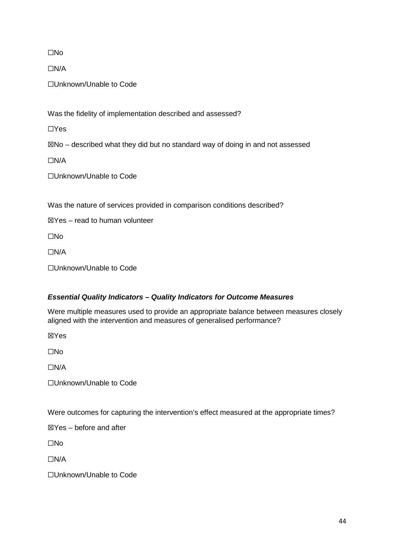☐No

☐N/A

☐Unknown/Unable to Code

Was the fidelity of implementation described and assessed?

☐Yes

 $\boxtimes$ No – described what they did but no standard way of doing in and not assessed

☐N/A

☐Unknown/Unable to Code

Was the nature of services provided in comparison conditions described?

 $\boxtimes$ Yes – read to human volunteer

☐No

☐N/A

☐Unknown/Unable to Code

### *Essential Quality Indicators – Quality Indicators for Outcome Measures*

Were multiple measures used to provide an appropriate balance between measures closely aligned with the intervention and measures of generalised performance?

☒Yes

☐No

☐N/A

☐Unknown/Unable to Code

Were outcomes for capturing the intervention's effect measured at the appropriate times?

 $\boxtimes$ Yes – before and after

☐No

☐N/A

☐Unknown/Unable to Code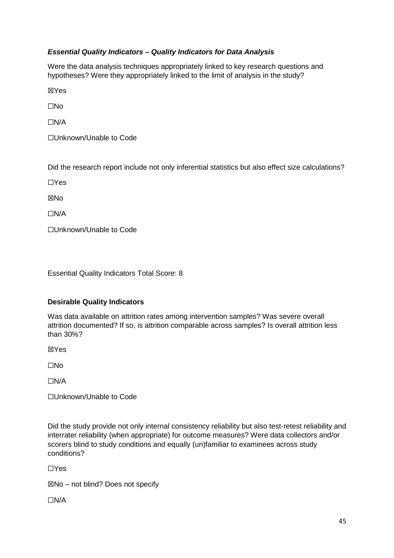### *Essential Quality Indicators – Quality Indicators for Data Analysis*

Were the data analysis techniques appropriately linked to key research questions and hypotheses? Were they appropriately linked to the limit of analysis in the study?

☒Yes

☐No

 $\Box N/A$ 

☐Unknown/Unable to Code

Did the research report include not only inferential statistics but also effect size calculations?

☐Yes

**XNo** 

☐N/A

☐Unknown/Unable to Code

Essential Quality Indicators Total Score: 8

#### **Desirable Quality Indicators**

Was data available on attrition rates among intervention samples? Was severe overall attrition documented? If so, is attrition comparable across samples? Is overall attrition less than 30%?

☒Yes

☐No

☐N/A

☐Unknown/Unable to Code

Did the study provide not only internal consistency reliability but also test-retest reliability and interrater reliability (when appropriate) for outcome measures? Were data collectors and/or scorers blind to study conditions and equally (un)familiar to examinees across study conditions?

☐Yes

☒No – not blind? Does not specify

☐N/A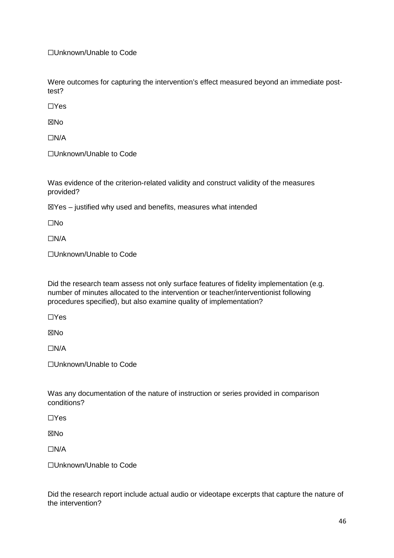☐Unknown/Unable to Code

Were outcomes for capturing the intervention's effect measured beyond an immediate posttest?

☐Yes

**XNo** 

☐N/A

☐Unknown/Unable to Code

Was evidence of the criterion-related validity and construct validity of the measures provided?

 $\mathbb{Z}$ Yes – justified why used and benefits, measures what intended

☐No

☐N/A

☐Unknown/Unable to Code

Did the research team assess not only surface features of fidelity implementation (e.g. number of minutes allocated to the intervention or teacher/interventionist following procedures specified), but also examine quality of implementation?

☐Yes

☒No

☐N/A

☐Unknown/Unable to Code

Was any documentation of the nature of instruction or series provided in comparison conditions?

☐Yes

**XNo** 

☐N/A

☐Unknown/Unable to Code

Did the research report include actual audio or videotape excerpts that capture the nature of the intervention?